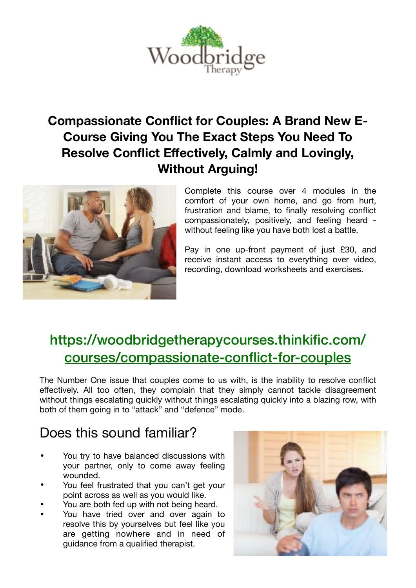

### **Compassionate Conflict for Couples: A Brand New E-Course Giving You The Exact Steps You Need To Resolve Conflict Effectively, Calmly and Lovingly, Without Arguing!**



Complete this course over 4 modules in the comfort of your own home, and go from hurt, frustration and blame, to finally resolving conflict compassionately, positively, and feeling heard without feeling like you have both lost a battle.

Pay in one up-front payment of just £30, and receive instant access to everything over video, recording, download worksheets and exercises.

# [https://woodbridgetherapycourses.thinkific.com/](https://woodbridgetherapycourses.thinkific.com/courses/compassionate-conflict-for-couples) [courses/compassionate-conflict-for-couples](https://woodbridgetherapycourses.thinkific.com/courses/compassionate-conflict-for-couples)

The Number One issue that couples come to us with, is the inability to resolve conflict effectively. All too often, they complain that they simply cannot tackle disagreement without things escalating quickly without things escalating quickly into a blazing row, with both of them going in to "attack" and "defence" mode.

## Does this sound familiar?

- You try to have balanced discussions with your partner, only to come away feeling wounded.
- You feel frustrated that you can't get your point across as well as you would like.
- You are both fed up with not being heard.
- You have tried over and over again to resolve this by yourselves but feel like you are getting nowhere and in need of guidance from a qualified therapist.

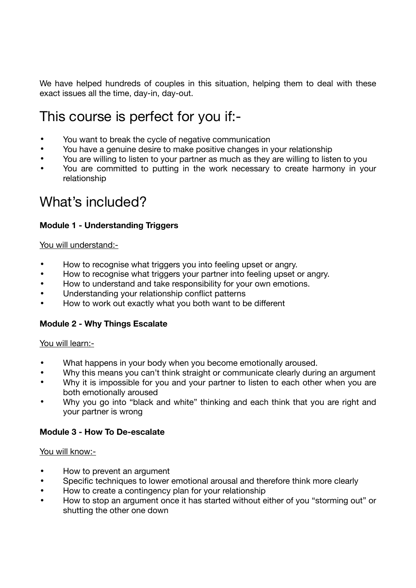We have helped hundreds of couples in this situation, helping them to deal with these exact issues all the time, day-in, day-out.

## This course is perfect for you if:-

- You want to break the cycle of negative communication
- You have a genuine desire to make positive changes in your relationship
- You are willing to listen to your partner as much as they are willing to listen to you
- You are committed to putting in the work necessary to create harmony in your relationship

### What's included?

#### **Module 1 - Understanding Triggers**

#### You will understand:-

- How to recognise what triggers you into feeling upset or angry.
- How to recognise what triggers your partner into feeling upset or angry.
- How to understand and take responsibility for your own emotions.
- Understanding your relationship conflict patterns
- How to work out exactly what you both want to be different

#### **Module 2 - Why Things Escalate**

#### You will learn:-

- What happens in your body when you become emotionally aroused.
- Why this means you can't think straight or communicate clearly during an argument
- Why it is impossible for you and your partner to listen to each other when you are both emotionally aroused
- Why you go into "black and white" thinking and each think that you are right and your partner is wrong

#### **Module 3 - How To De-escalate**

#### You will know:-

- How to prevent an argument
- Specific techniques to lower emotional arousal and therefore think more clearly
- How to create a contingency plan for your relationship
- How to stop an argument once it has started without either of you "storming out" or shutting the other one down